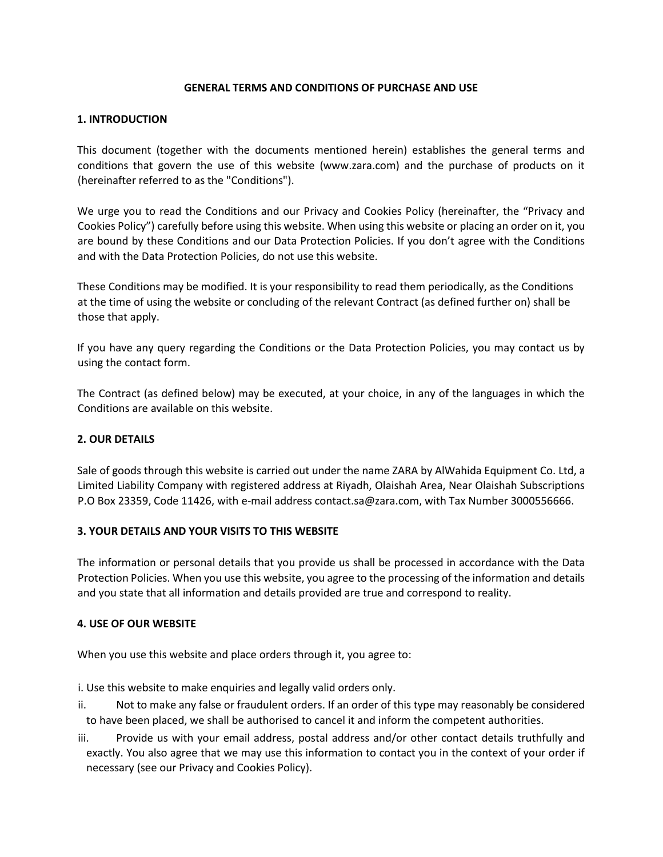## **GENERAL TERMS AND CONDITIONS OF PURCHASE AND USE**

## **1. INTRODUCTION**

This document (together with the documents mentioned herein) establishes the general terms and conditions that govern the use of this website (www.zara.com) and the purchase of products on it (hereinafter referred to as the "Conditions").

We urge you to read the Conditions and our Privacy and Cookies Policy (hereinafter, the "Privacy and Cookies Policy") carefully before using this website. When using this website or placing an order on it, you are bound by these Conditions and our Data Protection Policies. If you don't agree with the Conditions and with the Data Protection Policies, do not use this website.

These Conditions may be modified. It is your responsibility to read them periodically, as the Conditions at the time of using the website or concluding of the relevant Contract (as defined further on) shall be those that apply.

If you have any query regarding the Conditions or the Data Protection Policies, you may contact us by using the contact form.

The Contract (as defined below) may be executed, at your choice, in any of the languages in which the Conditions are available on this website.

# **2. OUR DETAILS**

Sale of goods through this website is carried out under the name ZARA by AlWahida Equipment Co. Ltd, a Limited Liability Company with registered address at Riyadh, Olaishah Area, Near Olaishah Subscriptions P.O Box 23359, Code 11426, with e-mail address contact.sa@zara.com, with Tax Number 3000556666.

# **3. YOUR DETAILS AND YOUR VISITS TO THIS WEBSITE**

The information or personal details that you provide us shall be processed in accordance with the Data Protection Policies. When you use this website, you agree to the processing of the information and details and you state that all information and details provided are true and correspond to reality.

# **4. USE OF OUR WEBSITE**

When you use this website and place orders through it, you agree to:

i. Use this website to make enquiries and legally valid orders only.

- ii. Not to make any false or fraudulent orders. If an order of this type may reasonably be considered to have been placed, we shall be authorised to cancel it and inform the competent authorities.
- iii. Provide us with your email address, postal address and/or other contact details truthfully and exactly. You also agree that we may use this information to contact you in the context of your order if necessary (see our Privacy and Cookies Policy).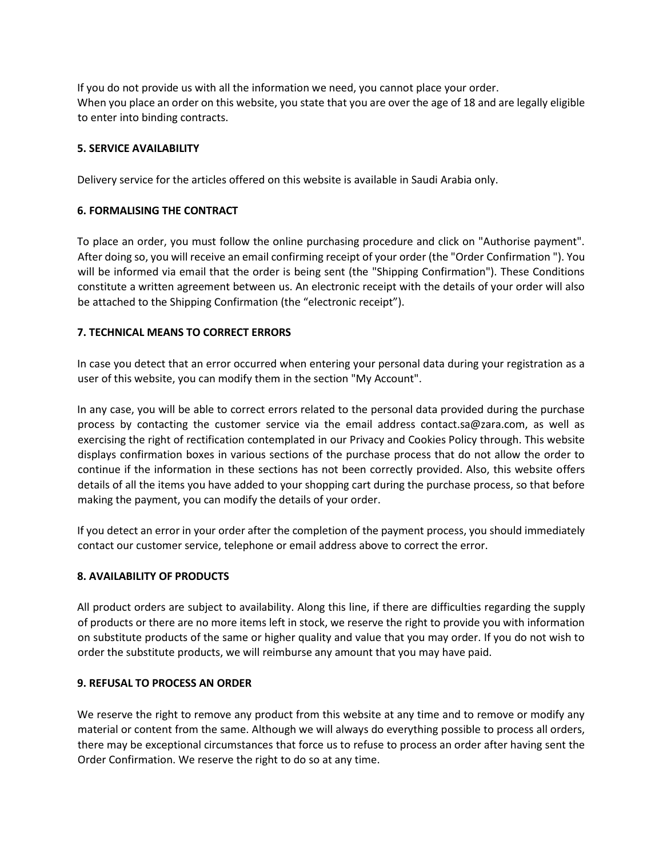If you do not provide us with all the information we need, you cannot place your order. When you place an order on this website, you state that you are over the age of 18 and are legally eligible to enter into binding contracts.

# **5. SERVICE AVAILABILITY**

Delivery service for the articles offered on this website is available in Saudi Arabia only.

## **6. FORMALISING THE CONTRACT**

To place an order, you must follow the online purchasing procedure and click on "Authorise payment". After doing so, you will receive an email confirming receipt of your order (the "Order Confirmation "). You will be informed via email that the order is being sent (the "Shipping Confirmation"). These Conditions constitute a written agreement between us. An electronic receipt with the details of your order will also be attached to the Shipping Confirmation (the "electronic receipt").

### **7. TECHNICAL MEANS TO CORRECT ERRORS**

In case you detect that an error occurred when entering your personal data during your registration as a user of this website, you can modify them in the section "My Account".

In any case, you will be able to correct errors related to the personal data provided during the purchase process by contacting the customer service via the email address contact.sa@zara.com, as well as exercising the right of rectification contemplated in our Privacy and Cookies Policy through. This website displays confirmation boxes in various sections of the purchase process that do not allow the order to continue if the information in these sections has not been correctly provided. Also, this website offers details of all the items you have added to your shopping cart during the purchase process, so that before making the payment, you can modify the details of your order.

If you detect an error in your order after the completion of the payment process, you should immediately contact our customer service, telephone or email address above to correct the error.

#### **8. AVAILABILITY OF PRODUCTS**

All product orders are subject to availability. Along this line, if there are difficulties regarding the supply of products or there are no more items left in stock, we reserve the right to provide you with information on substitute products of the same or higher quality and value that you may order. If you do not wish to order the substitute products, we will reimburse any amount that you may have paid.

#### **9. REFUSAL TO PROCESS AN ORDER**

We reserve the right to remove any product from this website at any time and to remove or modify any material or content from the same. Although we will always do everything possible to process all orders, there may be exceptional circumstances that force us to refuse to process an order after having sent the Order Confirmation. We reserve the right to do so at any time.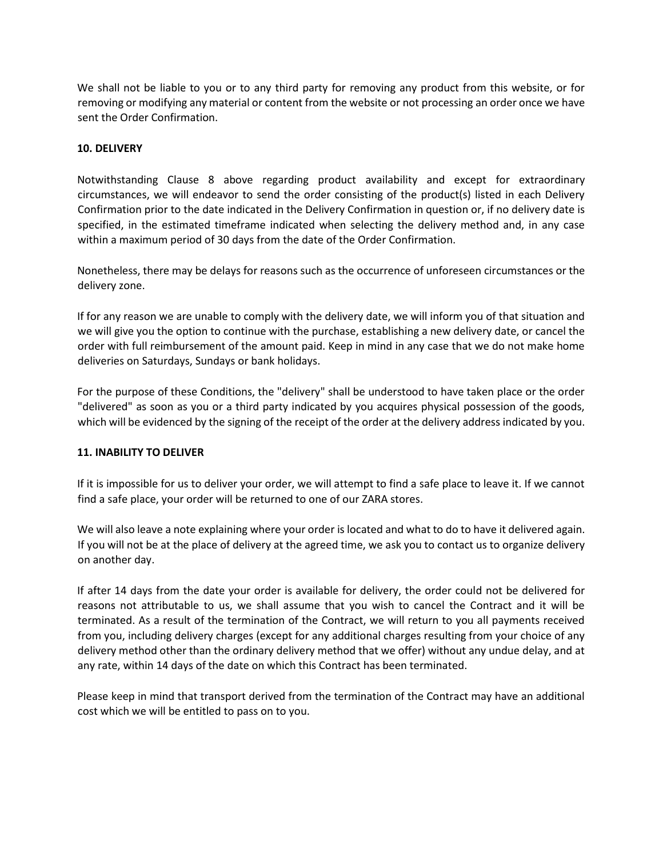We shall not be liable to you or to any third party for removing any product from this website, or for removing or modifying any material or content from the website or not processing an order once we have sent the Order Confirmation.

## **10. DELIVERY**

Notwithstanding Clause 8 above regarding product availability and except for extraordinary circumstances, we will endeavor to send the order consisting of the product(s) listed in each Delivery Confirmation prior to the date indicated in the Delivery Confirmation in question or, if no delivery date is specified, in the estimated timeframe indicated when selecting the delivery method and, in any case within a maximum period of 30 days from the date of the Order Confirmation.

Nonetheless, there may be delays for reasons such as the occurrence of unforeseen circumstances or the delivery zone.

If for any reason we are unable to comply with the delivery date, we will inform you of that situation and we will give you the option to continue with the purchase, establishing a new delivery date, or cancel the order with full reimbursement of the amount paid. Keep in mind in any case that we do not make home deliveries on Saturdays, Sundays or bank holidays.

For the purpose of these Conditions, the "delivery" shall be understood to have taken place or the order "delivered" as soon as you or a third party indicated by you acquires physical possession of the goods, which will be evidenced by the signing of the receipt of the order at the delivery address indicated by you.

# **11. INABILITY TO DELIVER**

If it is impossible for us to deliver your order, we will attempt to find a safe place to leave it. If we cannot find a safe place, your order will be returned to one of our ZARA stores.

We will also leave a note explaining where your order is located and what to do to have it delivered again. If you will not be at the place of delivery at the agreed time, we ask you to contact us to organize delivery on another day.

If after 14 days from the date your order is available for delivery, the order could not be delivered for reasons not attributable to us, we shall assume that you wish to cancel the Contract and it will be terminated. As a result of the termination of the Contract, we will return to you all payments received from you, including delivery charges (except for any additional charges resulting from your choice of any delivery method other than the ordinary delivery method that we offer) without any undue delay, and at any rate, within 14 days of the date on which this Contract has been terminated.

Please keep in mind that transport derived from the termination of the Contract may have an additional cost which we will be entitled to pass on to you.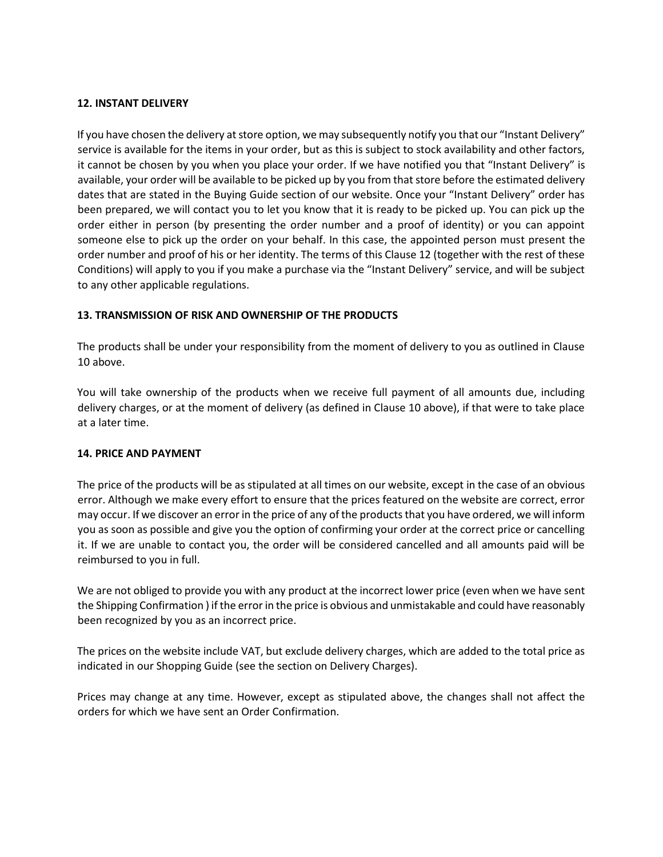# **12. INSTANT DELIVERY**

If you have chosen the delivery at store option, we may subsequently notify you that our "Instant Delivery" service is available for the items in your order, but as this is subject to stock availability and other factors, it cannot be chosen by you when you place your order. If we have notified you that "Instant Delivery" is available, your order will be available to be picked up by you from that store before the estimated delivery dates that are stated in the Buying Guide section of our website. Once your "Instant Delivery" order has been prepared, we will contact you to let you know that it is ready to be picked up. You can pick up the order either in person (by presenting the order number and a proof of identity) or you can appoint someone else to pick up the order on your behalf. In this case, the appointed person must present the order number and proof of his or her identity. The terms of this Clause 12 (together with the rest of these Conditions) will apply to you if you make a purchase via the "Instant Delivery" service, and will be subject to any other applicable regulations.

# **13. TRANSMISSION OF RISK AND OWNERSHIP OF THE PRODUCTS**

The products shall be under your responsibility from the moment of delivery to you as outlined in Clause 10 above.

You will take ownership of the products when we receive full payment of all amounts due, including delivery charges, or at the moment of delivery (as defined in Clause 10 above), if that were to take place at a later time.

## **14. PRICE AND PAYMENT**

The price of the products will be as stipulated at all times on our website, except in the case of an obvious error. Although we make every effort to ensure that the prices featured on the website are correct, error may occur. If we discover an error in the price of any of the products that you have ordered, we will inform you as soon as possible and give you the option of confirming your order at the correct price or cancelling it. If we are unable to contact you, the order will be considered cancelled and all amounts paid will be reimbursed to you in full.

We are not obliged to provide you with any product at the incorrect lower price (even when we have sent the Shipping Confirmation ) if the error in the price is obvious and unmistakable and could have reasonably been recognized by you as an incorrect price.

The prices on the website include VAT, but exclude delivery charges, which are added to the total price as indicated in our Shopping Guide (see the section on Delivery Charges).

Prices may change at any time. However, except as stipulated above, the changes shall not affect the orders for which we have sent an Order Confirmation.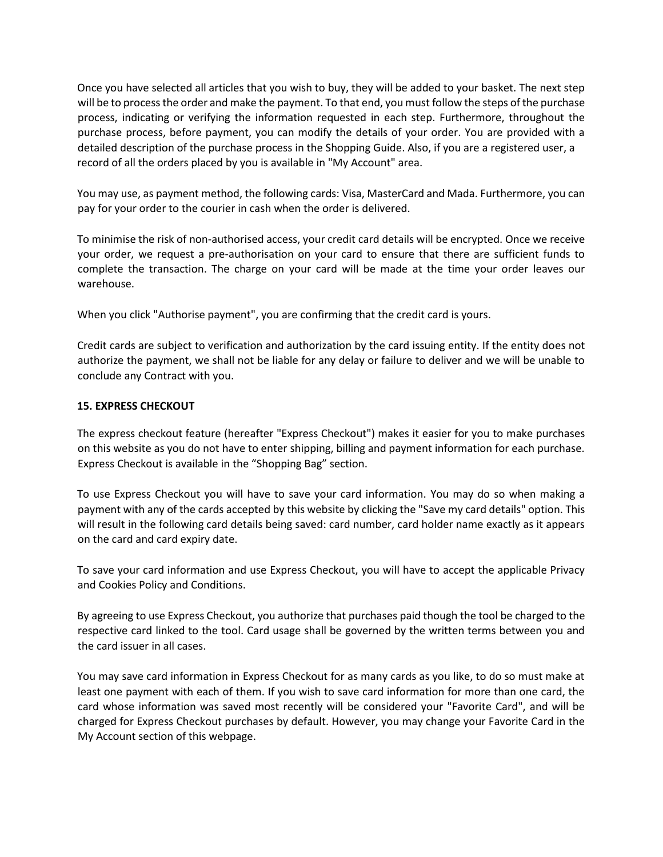Once you have selected all articles that you wish to buy, they will be added to your basket. The next step will be to process the order and make the payment. To that end, you must follow the steps of the purchase process, indicating or verifying the information requested in each step. Furthermore, throughout the purchase process, before payment, you can modify the details of your order. You are provided with a detailed description of the purchase process in the Shopping Guide. Also, if you are a registered user, a record of all the orders placed by you is available in "My Account" area.

You may use, as payment method, the following cards: Visa, MasterCard and Mada. Furthermore, you can pay for your order to the courier in cash when the order is delivered.

To minimise the risk of non-authorised access, your credit card details will be encrypted. Once we receive your order, we request a pre-authorisation on your card to ensure that there are sufficient funds to complete the transaction. The charge on your card will be made at the time your order leaves our warehouse.

When you click "Authorise payment", you are confirming that the credit card is yours.

Credit cards are subject to verification and authorization by the card issuing entity. If the entity does not authorize the payment, we shall not be liable for any delay or failure to deliver and we will be unable to conclude any Contract with you.

### **15. EXPRESS CHECKOUT**

The express checkout feature (hereafter "Express Checkout") makes it easier for you to make purchases on this website as you do not have to enter shipping, billing and payment information for each purchase. Express Checkout is available in the "Shopping Bag" section.

To use Express Checkout you will have to save your card information. You may do so when making a payment with any of the cards accepted by this website by clicking the "Save my card details" option. This will result in the following card details being saved: card number, card holder name exactly as it appears on the card and card expiry date.

To save your card information and use Express Checkout, you will have to accept the applicable Privacy and Cookies Policy and Conditions.

By agreeing to use Express Checkout, you authorize that purchases paid though the tool be charged to the respective card linked to the tool. Card usage shall be governed by the written terms between you and the card issuer in all cases.

You may save card information in Express Checkout for as many cards as you like, to do so must make at least one payment with each of them. If you wish to save card information for more than one card, the card whose information was saved most recently will be considered your "Favorite Card", and will be charged for Express Checkout purchases by default. However, you may change your Favorite Card in the My Account section of this webpage.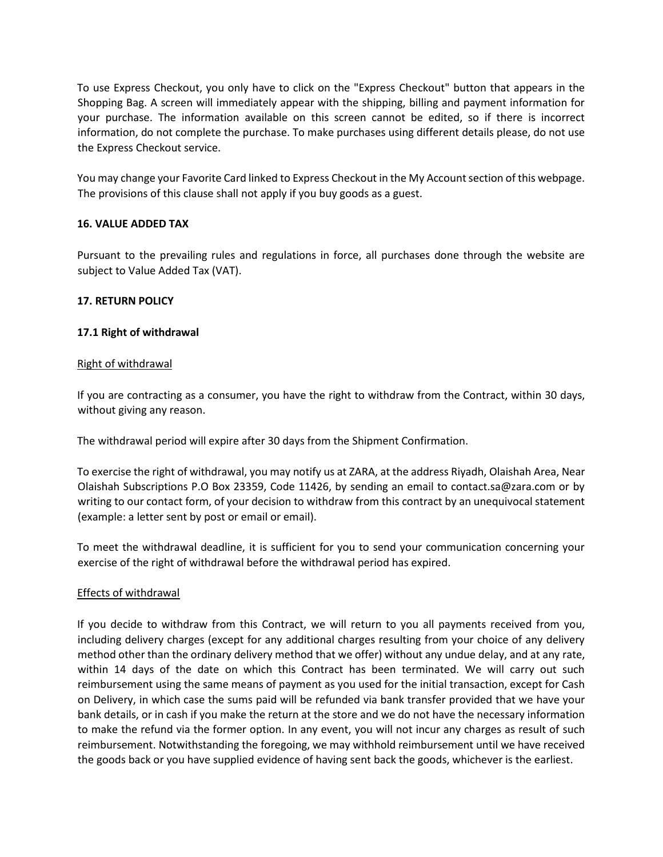To use Express Checkout, you only have to click on the "Express Checkout" button that appears in the Shopping Bag. A screen will immediately appear with the shipping, billing and payment information for your purchase. The information available on this screen cannot be edited, so if there is incorrect information, do not complete the purchase. To make purchases using different details please, do not use the Express Checkout service.

You may change your Favorite Card linked to Express Checkout in the My Account section of this webpage. The provisions of this clause shall not apply if you buy goods as a guest.

# **16. VALUE ADDED TAX**

Pursuant to the prevailing rules and regulations in force, all purchases done through the website are subject to Value Added Tax (VAT).

### **17. RETURN POLICY**

### **17.1 Right of withdrawal**

### Right of withdrawal

If you are contracting as a consumer, you have the right to withdraw from the Contract, within 30 days, without giving any reason.

The withdrawal period will expire after 30 days from the Shipment Confirmation.

To exercise the right of withdrawal, you may notify us at ZARA, at the address Riyadh, Olaishah Area, Near Olaishah Subscriptions P.O Box 23359, Code 11426, by sending an email to contact.sa@zara.com or by writing to our contact form, of your decision to withdraw from this contract by an unequivocal statement (example: a letter sent by post or email or email).

To meet the withdrawal deadline, it is sufficient for you to send your communication concerning your exercise of the right of withdrawal before the withdrawal period has expired.

#### Effects of withdrawal

If you decide to withdraw from this Contract, we will return to you all payments received from you, including delivery charges (except for any additional charges resulting from your choice of any delivery method other than the ordinary delivery method that we offer) without any undue delay, and at any rate, within 14 days of the date on which this Contract has been terminated. We will carry out such reimbursement using the same means of payment as you used for the initial transaction, except for Cash on Delivery, in which case the sums paid will be refunded via bank transfer provided that we have your bank details, or in cash if you make the return at the store and we do not have the necessary information to make the refund via the former option. In any event, you will not incur any charges as result of such reimbursement. Notwithstanding the foregoing, we may withhold reimbursement until we have received the goods back or you have supplied evidence of having sent back the goods, whichever is the earliest.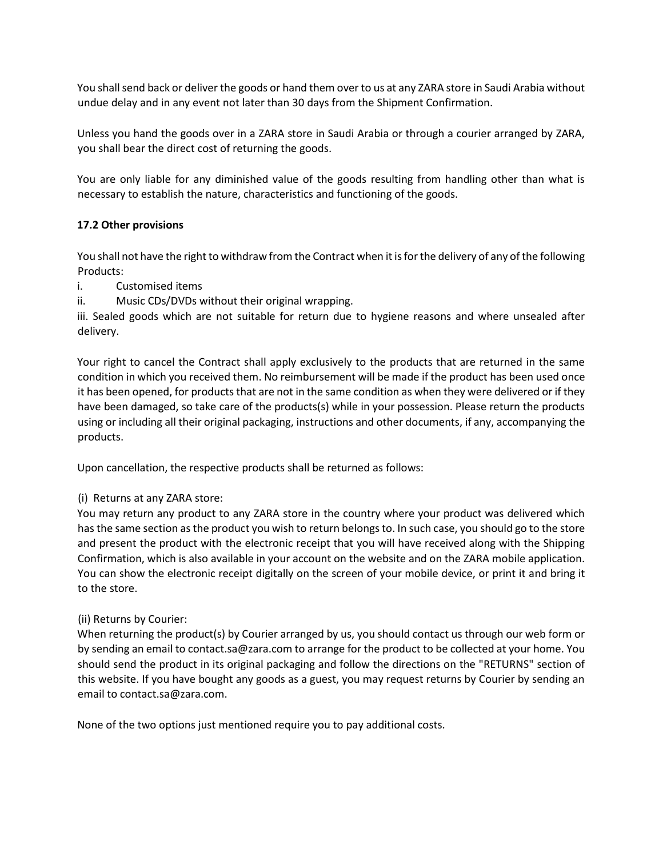You shall send back or deliver the goods or hand them over to us at any ZARA store in Saudi Arabia without undue delay and in any event not later than 30 days from the Shipment Confirmation.

Unless you hand the goods over in a ZARA store in Saudi Arabia or through a courier arranged by ZARA, you shall bear the direct cost of returning the goods.

You are only liable for any diminished value of the goods resulting from handling other than what is necessary to establish the nature, characteristics and functioning of the goods.

# **17.2 Other provisions**

You shall not have the right to withdraw from the Contract when it is for the delivery of any of the following Products:

i. Customised items

ii. Music CDs/DVDs without their original wrapping.

iii. Sealed goods which are not suitable for return due to hygiene reasons and where unsealed after delivery.

Your right to cancel the Contract shall apply exclusively to the products that are returned in the same condition in which you received them. No reimbursement will be made if the product has been used once it has been opened, for products that are not in the same condition as when they were delivered or if they have been damaged, so take care of the products(s) while in your possession. Please return the products using or including all their original packaging, instructions and other documents, if any, accompanying the products.

Upon cancellation, the respective products shall be returned as follows:

#### (i) Returns at any ZARA store:

You may return any product to any ZARA store in the country where your product was delivered which has the same section as the product you wish to return belongs to. In such case, you should go to the store and present the product with the electronic receipt that you will have received along with the Shipping Confirmation, which is also available in your account on the website and on the ZARA mobile application. You can show the electronic receipt digitally on the screen of your mobile device, or print it and bring it to the store.

#### (ii) Returns by Courier:

When returning the product(s) by Courier arranged by us, you should contact us through our web form or by sending an email to contact.sa@zara.com to arrange for the product to be collected at your home. You should send the product in its original packaging and follow the directions on the "RETURNS" section of this website. If you have bought any goods as a guest, you may request returns by Courier by sending an email to contact.sa@zara.com.

None of the two options just mentioned require you to pay additional costs.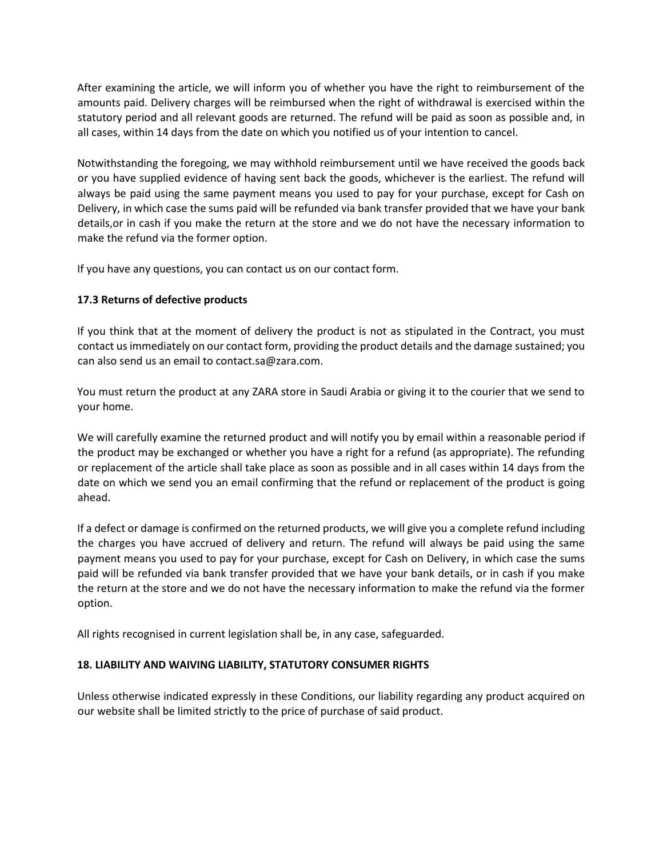After examining the article, we will inform you of whether you have the right to reimbursement of the amounts paid. Delivery charges will be reimbursed when the right of withdrawal is exercised within the statutory period and all relevant goods are returned. The refund will be paid as soon as possible and, in all cases, within 14 days from the date on which you notified us of your intention to cancel.

Notwithstanding the foregoing, we may withhold reimbursement until we have received the goods back or you have supplied evidence of having sent back the goods, whichever is the earliest. The refund will always be paid using the same payment means you used to pay for your purchase, except for Cash on Delivery, in which case the sums paid will be refunded via bank transfer provided that we have your bank details,or in cash if you make the return at the store and we do not have the necessary information to make the refund via the former option.

If you have any questions, you can contact us on our contact form.

# **17.3 Returns of defective products**

If you think that at the moment of delivery the product is not as stipulated in the Contract, you must contact us immediately on our contact form, providing the product details and the damage sustained; you can also send us an email to contact.sa@zara.com.

You must return the product at any ZARA store in Saudi Arabia or giving it to the courier that we send to your home.

We will carefully examine the returned product and will notify you by email within a reasonable period if the product may be exchanged or whether you have a right for a refund (as appropriate). The refunding or replacement of the article shall take place as soon as possible and in all cases within 14 days from the date on which we send you an email confirming that the refund or replacement of the product is going ahead.

If a defect or damage is confirmed on the returned products, we will give you a complete refund including the charges you have accrued of delivery and return. The refund will always be paid using the same payment means you used to pay for your purchase, except for Cash on Delivery, in which case the sums paid will be refunded via bank transfer provided that we have your bank details, or in cash if you make the return at the store and we do not have the necessary information to make the refund via the former option.

All rights recognised in current legislation shall be, in any case, safeguarded.

#### **18. LIABILITY AND WAIVING LIABILITY, STATUTORY CONSUMER RIGHTS**

Unless otherwise indicated expressly in these Conditions, our liability regarding any product acquired on our website shall be limited strictly to the price of purchase of said product.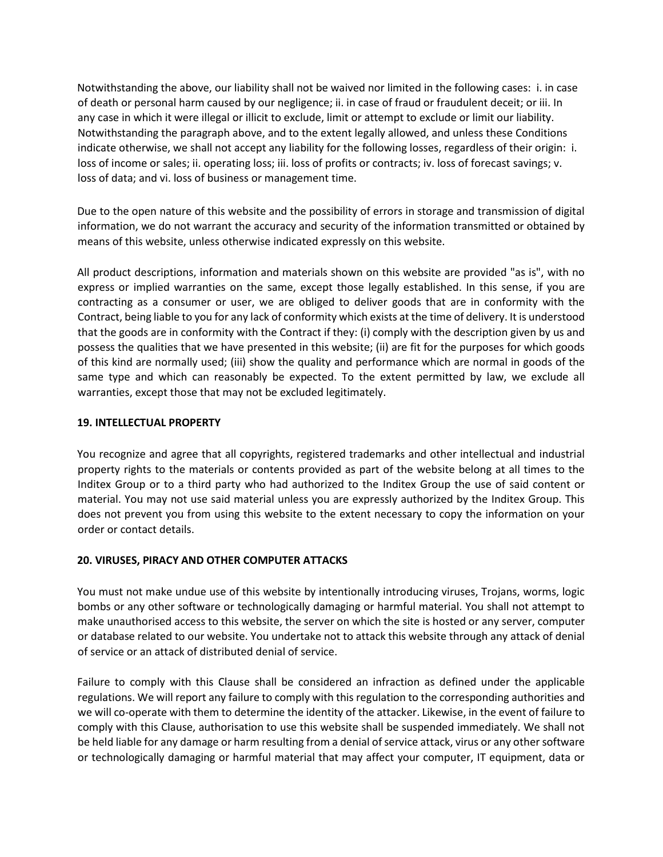Notwithstanding the above, our liability shall not be waived nor limited in the following cases: i. in case of death or personal harm caused by our negligence; ii. in case of fraud or fraudulent deceit; or iii. In any case in which it were illegal or illicit to exclude, limit or attempt to exclude or limit our liability. Notwithstanding the paragraph above, and to the extent legally allowed, and unless these Conditions indicate otherwise, we shall not accept any liability for the following losses, regardless of their origin: i. loss of income or sales; ii. operating loss; iii. loss of profits or contracts; iv. loss of forecast savings; v. loss of data; and vi. loss of business or management time.

Due to the open nature of this website and the possibility of errors in storage and transmission of digital information, we do not warrant the accuracy and security of the information transmitted or obtained by means of this website, unless otherwise indicated expressly on this website.

All product descriptions, information and materials shown on this website are provided "as is", with no express or implied warranties on the same, except those legally established. In this sense, if you are contracting as a consumer or user, we are obliged to deliver goods that are in conformity with the Contract, being liable to you for any lack of conformity which exists at the time of delivery. It is understood that the goods are in conformity with the Contract if they: (i) comply with the description given by us and possess the qualities that we have presented in this website; (ii) are fit for the purposes for which goods of this kind are normally used; (iii) show the quality and performance which are normal in goods of the same type and which can reasonably be expected. To the extent permitted by law, we exclude all warranties, except those that may not be excluded legitimately.

## **19. INTELLECTUAL PROPERTY**

You recognize and agree that all copyrights, registered trademarks and other intellectual and industrial property rights to the materials or contents provided as part of the website belong at all times to the Inditex Group or to a third party who had authorized to the Inditex Group the use of said content or material. You may not use said material unless you are expressly authorized by the Inditex Group. This does not prevent you from using this website to the extent necessary to copy the information on your order or contact details.

# **20. VIRUSES, PIRACY AND OTHER COMPUTER ATTACKS**

You must not make undue use of this website by intentionally introducing viruses, Trojans, worms, logic bombs or any other software or technologically damaging or harmful material. You shall not attempt to make unauthorised access to this website, the server on which the site is hosted or any server, computer or database related to our website. You undertake not to attack this website through any attack of denial of service or an attack of distributed denial of service.

Failure to comply with this Clause shall be considered an infraction as defined under the applicable regulations. We will report any failure to comply with this regulation to the corresponding authorities and we will co-operate with them to determine the identity of the attacker. Likewise, in the event of failure to comply with this Clause, authorisation to use this website shall be suspended immediately. We shall not be held liable for any damage or harm resulting from a denial of service attack, virus or any other software or technologically damaging or harmful material that may affect your computer, IT equipment, data or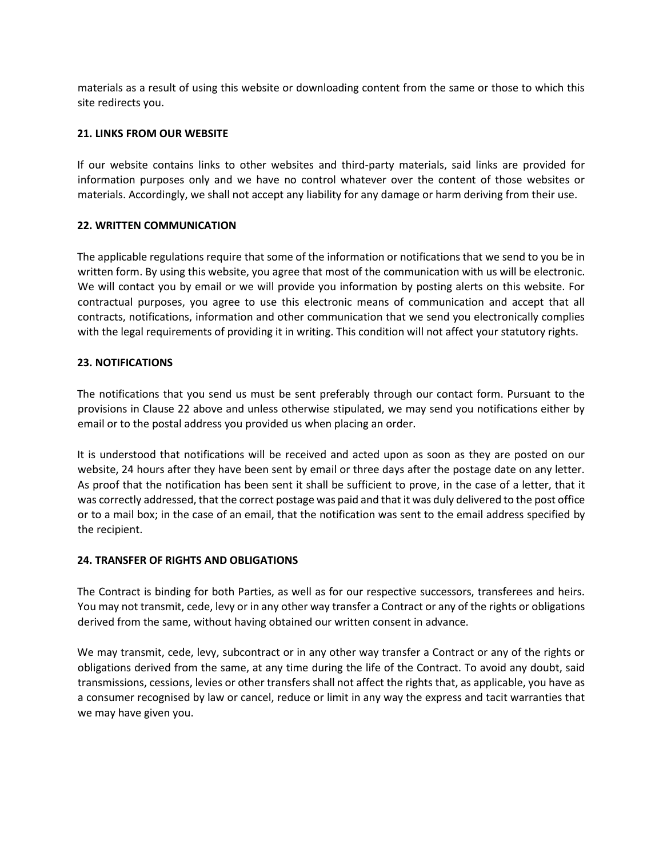materials as a result of using this website or downloading content from the same or those to which this site redirects you.

## **21. LINKS FROM OUR WEBSITE**

If our website contains links to other websites and third-party materials, said links are provided for information purposes only and we have no control whatever over the content of those websites or materials. Accordingly, we shall not accept any liability for any damage or harm deriving from their use.

### **22. WRITTEN COMMUNICATION**

The applicable regulations require that some of the information or notifications that we send to you be in written form. By using this website, you agree that most of the communication with us will be electronic. We will contact you by email or we will provide you information by posting alerts on this website. For contractual purposes, you agree to use this electronic means of communication and accept that all contracts, notifications, information and other communication that we send you electronically complies with the legal requirements of providing it in writing. This condition will not affect your statutory rights.

### **23. NOTIFICATIONS**

The notifications that you send us must be sent preferably through our contact form. Pursuant to the provisions in Clause 22 above and unless otherwise stipulated, we may send you notifications either by email or to the postal address you provided us when placing an order.

It is understood that notifications will be received and acted upon as soon as they are posted on our website, 24 hours after they have been sent by email or three days after the postage date on any letter. As proof that the notification has been sent it shall be sufficient to prove, in the case of a letter, that it was correctly addressed, that the correct postage was paid and that it was duly delivered to the post office or to a mail box; in the case of an email, that the notification was sent to the email address specified by the recipient.

#### **24. TRANSFER OF RIGHTS AND OBLIGATIONS**

The Contract is binding for both Parties, as well as for our respective successors, transferees and heirs. You may not transmit, cede, levy or in any other way transfer a Contract or any of the rights or obligations derived from the same, without having obtained our written consent in advance.

We may transmit, cede, levy, subcontract or in any other way transfer a Contract or any of the rights or obligations derived from the same, at any time during the life of the Contract. To avoid any doubt, said transmissions, cessions, levies or other transfers shall not affect the rights that, as applicable, you have as a consumer recognised by law or cancel, reduce or limit in any way the express and tacit warranties that we may have given you.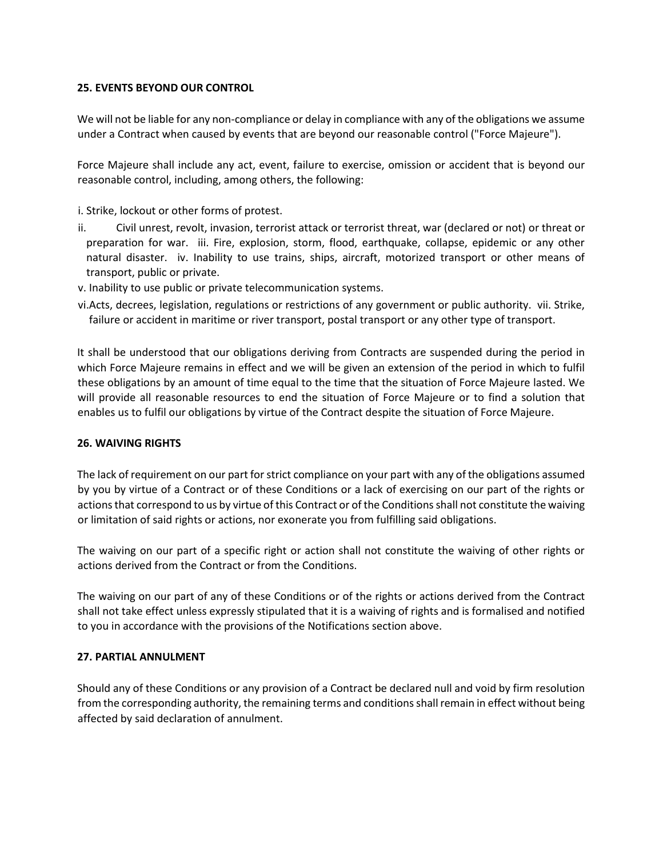## **25. EVENTS BEYOND OUR CONTROL**

We will not be liable for any non-compliance or delay in compliance with any of the obligations we assume under a Contract when caused by events that are beyond our reasonable control ("Force Majeure").

Force Majeure shall include any act, event, failure to exercise, omission or accident that is beyond our reasonable control, including, among others, the following:

i. Strike, lockout or other forms of protest.

- ii. Civil unrest, revolt, invasion, terrorist attack or terrorist threat, war (declared or not) or threat or preparation for war. iii. Fire, explosion, storm, flood, earthquake, collapse, epidemic or any other natural disaster. iv. Inability to use trains, ships, aircraft, motorized transport or other means of transport, public or private.
- v. Inability to use public or private telecommunication systems.
- vi.Acts, decrees, legislation, regulations or restrictions of any government or public authority. vii. Strike, failure or accident in maritime or river transport, postal transport or any other type of transport.

It shall be understood that our obligations deriving from Contracts are suspended during the period in which Force Majeure remains in effect and we will be given an extension of the period in which to fulfil these obligations by an amount of time equal to the time that the situation of Force Majeure lasted. We will provide all reasonable resources to end the situation of Force Majeure or to find a solution that enables us to fulfil our obligations by virtue of the Contract despite the situation of Force Majeure.

#### **26. WAIVING RIGHTS**

The lack of requirement on our part for strict compliance on your part with any of the obligations assumed by you by virtue of a Contract or of these Conditions or a lack of exercising on our part of the rights or actions that correspond to us by virtue of this Contract or of the Conditions shall not constitute the waiving or limitation of said rights or actions, nor exonerate you from fulfilling said obligations.

The waiving on our part of a specific right or action shall not constitute the waiving of other rights or actions derived from the Contract or from the Conditions.

The waiving on our part of any of these Conditions or of the rights or actions derived from the Contract shall not take effect unless expressly stipulated that it is a waiving of rights and is formalised and notified to you in accordance with the provisions of the Notifications section above.

#### **27. PARTIAL ANNULMENT**

Should any of these Conditions or any provision of a Contract be declared null and void by firm resolution from the corresponding authority, the remaining terms and conditions shall remain in effect without being affected by said declaration of annulment.